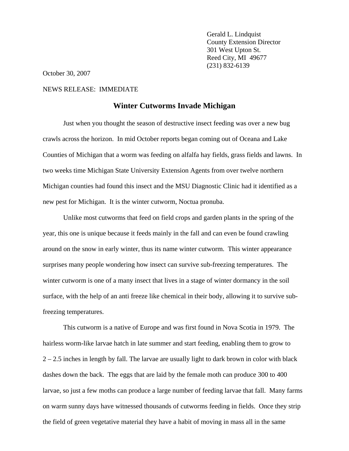Gerald L. Lindquist County Extension Director 301 West Upton St. Reed City, MI 49677 (231) 832-6139

October 30, 2007

## NEWS RELEASE: IMMEDIATE

## **Winter Cutworms Invade Michigan**

Just when you thought the season of destructive insect feeding was over a new bug crawls across the horizon. In mid October reports began coming out of Oceana and Lake Counties of Michigan that a worm was feeding on alfalfa hay fields, grass fields and lawns. In two weeks time Michigan State University Extension Agents from over twelve northern Michigan counties had found this insect and the MSU Diagnostic Clinic had it identified as a new pest for Michigan. It is the winter cutworm, Noctua pronuba.

 Unlike most cutworms that feed on field crops and garden plants in the spring of the year, this one is unique because it feeds mainly in the fall and can even be found crawling around on the snow in early winter, thus its name winter cutworm. This winter appearance surprises many people wondering how insect can survive sub-freezing temperatures. The winter cutworm is one of a many insect that lives in a stage of winter dormancy in the soil surface, with the help of an anti freeze like chemical in their body, allowing it to survive subfreezing temperatures.

This cutworm is a native of Europe and was first found in Nova Scotia in 1979. The hairless worm-like larvae hatch in late summer and start feeding, enabling them to grow to  $2 - 2.5$  inches in length by fall. The larvae are usually light to dark brown in color with black dashes down the back. The eggs that are laid by the female moth can produce 300 to 400 larvae, so just a few moths can produce a large number of feeding larvae that fall. Many farms on warm sunny days have witnessed thousands of cutworms feeding in fields. Once they strip the field of green vegetative material they have a habit of moving in mass all in the same